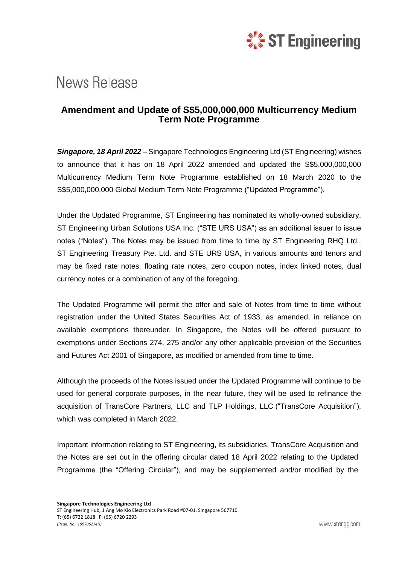

## **News Release**

## **Amendment and Update of S\$5,000,000,000 Multicurrency Medium Term Note Programme**

*Singapore, 18 April 2022* – Singapore Technologies Engineering Ltd (ST Engineering) wishes to announce that it has on 18 April 2022 amended and updated the S\$5,000,000,000 Multicurrency Medium Term Note Programme established on 18 March 2020 to the S\$5,000,000,000 Global Medium Term Note Programme ("Updated Programme").

Under the Updated Programme, ST Engineering has nominated its wholly-owned subsidiary, ST Engineering Urban Solutions USA Inc. ("STE URS USA") as an additional issuer to issue notes ("Notes"). The Notes may be issued from time to time by ST Engineering RHQ Ltd., ST Engineering Treasury Pte. Ltd. and STE URS USA, in various amounts and tenors and may be fixed rate notes, floating rate notes, zero coupon notes, index linked notes, dual currency notes or a combination of any of the foregoing.

The Updated Programme will permit the offer and sale of Notes from time to time without registration under the United States Securities Act of 1933, as amended, in reliance on available exemptions thereunder. In Singapore, the Notes will be offered pursuant to exemptions under Sections 274, 275 and/or any other applicable provision of the Securities and Futures Act 2001 of Singapore, as modified or amended from time to time.

Although the proceeds of the Notes issued under the Updated Programme will continue to be used for general corporate purposes, in the near future, they will be used to refinance the acquisition of TransCore Partners, LLC and TLP Holdings, LLC ("TransCore Acquisition"), which was completed in March 2022.

Important information relating to ST Engineering, its subsidiaries, TransCore Acquisition and the Notes are set out in the offering circular dated 18 April 2022 relating to the Updated Programme (the "Offering Circular"), and may be supplemented and/or modified by the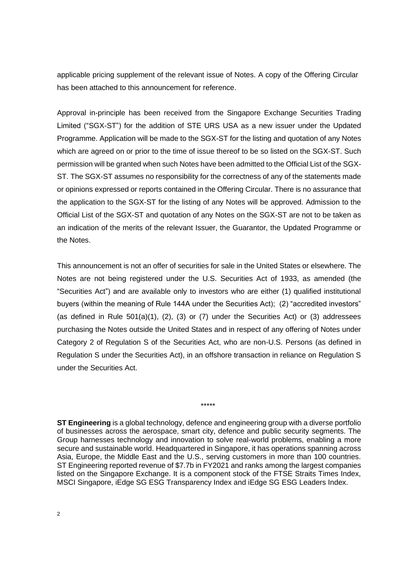applicable pricing supplement of the relevant issue of Notes. A copy of the Offering Circular has been attached to this announcement for reference.

Approval in-principle has been received from the Singapore Exchange Securities Trading Limited ("SGX-ST") for the addition of STE URS USA as a new issuer under the Updated Programme. Application will be made to the SGX-ST for the listing and quotation of any Notes which are agreed on or prior to the time of issue thereof to be so listed on the SGX-ST. Such permission will be granted when such Notes have been admitted to the Official List of the SGX-ST. The SGX-ST assumes no responsibility for the correctness of any of the statements made or opinions expressed or reports contained in the Offering Circular. There is no assurance that the application to the SGX-ST for the listing of any Notes will be approved. Admission to the Official List of the SGX-ST and quotation of any Notes on the SGX-ST are not to be taken as an indication of the merits of the relevant Issuer, the Guarantor, the Updated Programme or the Notes.

This announcement is not an offer of securities for sale in the United States or elsewhere. The Notes are not being registered under the U.S. Securities Act of 1933, as amended (the "Securities Act") and are available only to investors who are either (1) qualified institutional buyers (within the meaning of Rule 144A under the Securities Act); (2) "accredited investors" (as defined in Rule  $501(a)(1)$ ,  $(2)$ ,  $(3)$  or  $(7)$  under the Securities Act) or  $(3)$  addressees purchasing the Notes outside the United States and in respect of any offering of Notes under Category 2 of Regulation S of the Securities Act, who are non-U.S. Persons (as defined in Regulation S under the Securities Act), in an offshore transaction in reliance on Regulation S under the Securities Act.

\*\*\*\*\*

**ST Engineering** is a global technology, defence and engineering group with a diverse portfolio of businesses across the aerospace, smart city, defence and public security segments. The Group harnesses technology and innovation to solve real-world problems, enabling a more secure and sustainable world. Headquartered in Singapore, it has operations spanning across Asia, Europe, the Middle East and the U.S., serving customers in more than 100 countries. ST Engineering reported revenue of \$7.7b in FY2021 and ranks among the largest companies listed on the Singapore Exchange. It is a component stock of the FTSE Straits Times Index, MSCI Singapore, iEdge SG ESG Transparency Index and iEdge SG ESG Leaders Index.